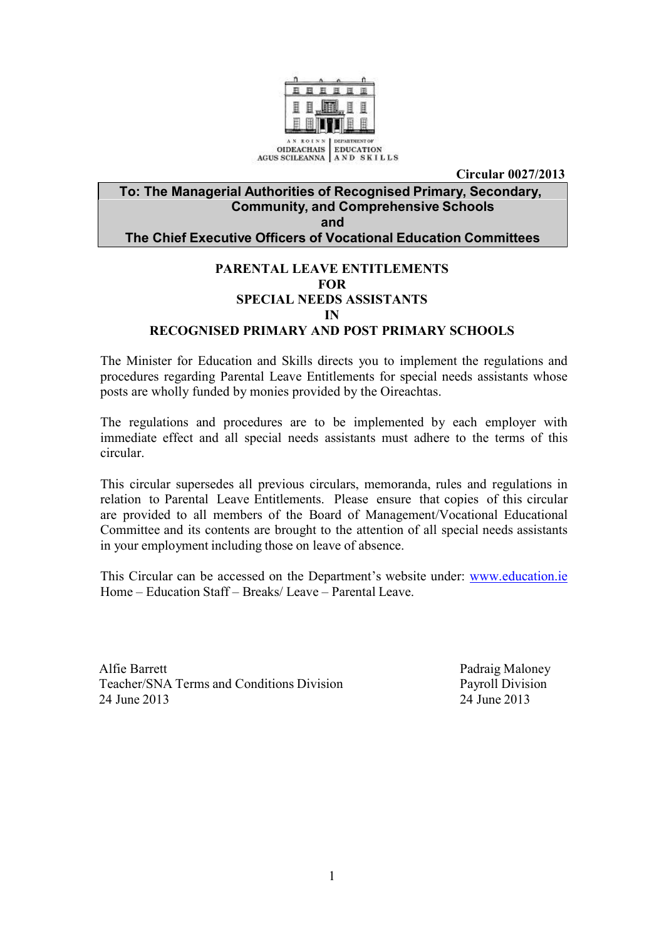

**Circular 0027/2013**

#### **To: The Managerial Authorities of Recognised Primary, Secondary, Community, and Comprehensive Schools and The Chief Executive Officers of Vocational Education Committees**

## **PARENTAL LEAVE ENTITLEMENTS FOR SPECIAL NEEDS ASSISTANTS IN**

#### **RECOGNISED PRIMARY AND POST PRIMARY SCHOOLS**

The Minister for Education and Skills directs you to implement the regulations and procedures regarding Parental Leave Entitlements for special needs assistants whose posts are wholly funded by monies provided by the Oireachtas.

The regulations and procedures are to be implemented by each employer with immediate effect and all special needs assistants must adhere to the terms of this circular.

This circular supersedes all previous circulars, memoranda, rules and regulations in relation to Parental Leave Entitlements. Please ensure that copies of this circular are provided to all members of the Board of Management/Vocational Educational Committee and its contents are brought to the attention of all special needs assistants in your employment including those on leave of absence.

This Circular can be accessed on the Department's website under: [www.education.ie](http://www.education.ie/) Home – Education Staff – Breaks/ Leave – Parental Leave.

Alfie Barrett Padraig Maloney Teacher/SNA Terms and Conditions Division Payroll Division 24 June 2013 24 June 2013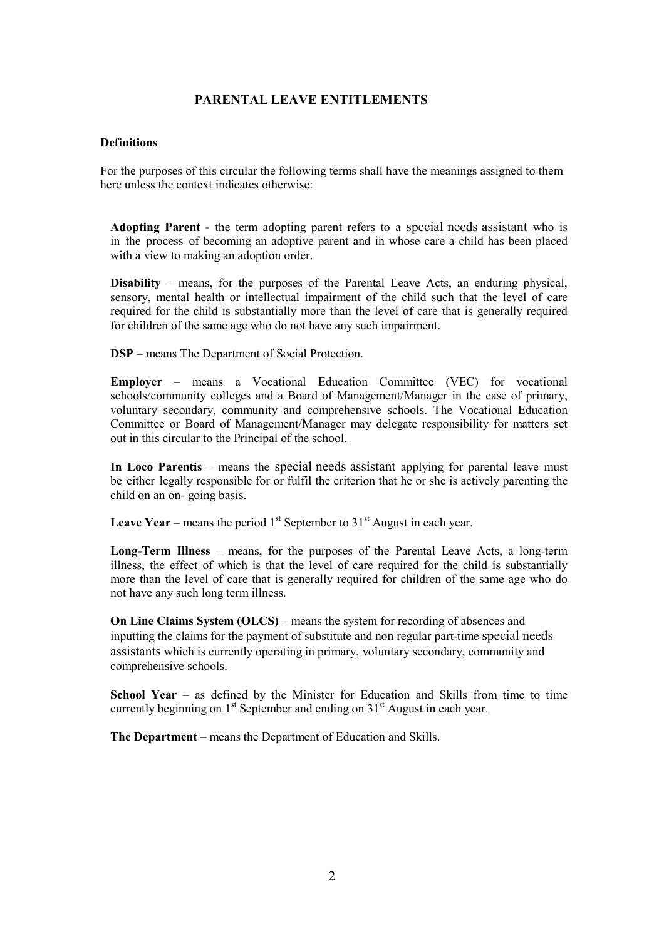#### **PARENTAL LEAVE ENTITLEMENTS**

#### **Definitions**

For the purposes of this circular the following terms shall have the meanings assigned to them here unless the context indicates otherwise:

**Adopting Parent -** the term adopting parent refers to a special needs assistant who is in the process of becoming an adoptive parent and in whose care a child has been placed with a view to making an adoption order.

**Disability** – means, for the purposes of the Parental Leave Acts, an enduring physical, sensory, mental health or intellectual impairment of the child such that the level of care required for the child is substantially more than the level of care that is generally required for children of the same age who do not have any such impairment.

**DSP** – means The Department of Social Protection.

**Employer** – means a Vocational Education Committee (VEC) for vocational schools/community colleges and a Board of Management/Manager in the case of primary, voluntary secondary, community and comprehensive schools. The Vocational Education Committee or Board of Management/Manager may delegate responsibility for matters set out in this circular to the Principal of the school.

**In Loco Parentis** – means the special needs assistant applying for parental leave must be either legally responsible for or fulfil the criterion that he or she is actively parenting the child on an on- going basis.

**Leave Year** – means the period  $1<sup>st</sup>$  September to  $31<sup>st</sup>$  August in each year.

**Long-Term Illness** – means, for the purposes of the Parental Leave Acts, a long-term illness, the effect of which is that the level of care required for the child is substantially more than the level of care that is generally required for children of the same age who do not have any such long term illness.

**On Line Claims System (OLCS)** – means the system for recording of absences and inputting the claims for the payment of substitute and non regular part-time special needs assistants which is currently operating in primary, voluntary secondary, community and comprehensive schools.

**School Year** – as defined by the Minister for Education and Skills from time to time currently beginning on  $1<sup>st</sup>$  September and ending on  $31<sup>st</sup>$  August in each year.

**The Department** – means the Department of Education and Skills.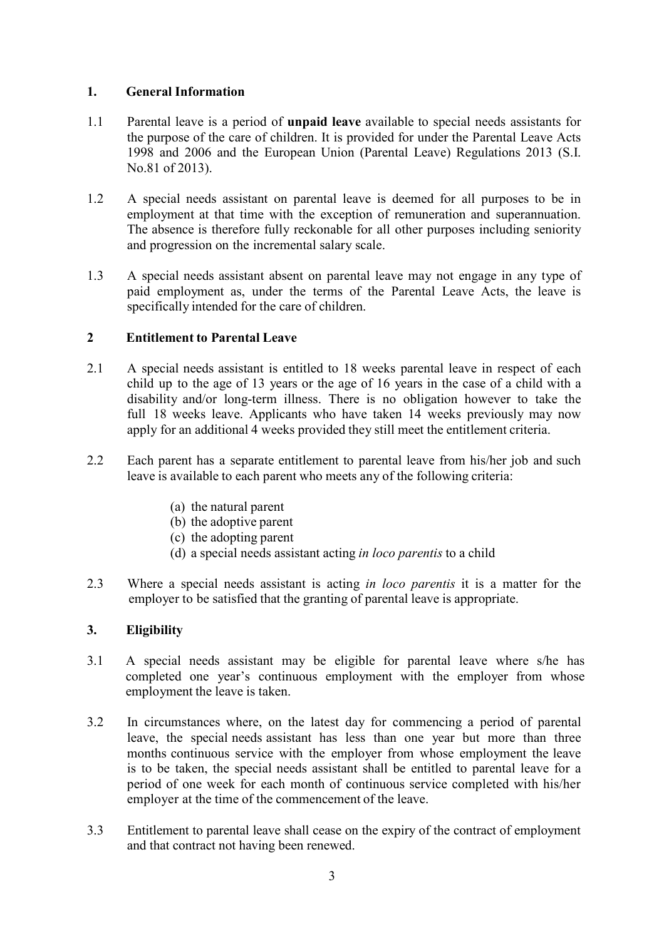## **1. General Information**

- 1.1 Parental leave is a period of **unpaid leave** available to special needs assistants for the purpose of the care of children. It is provided for under the Parental Leave Acts 1998 and 2006 and the European Union (Parental Leave) Regulations 2013 (S.I. No.81 of 2013).
- 1.2 A special needs assistant on parental leave is deemed for all purposes to be in employment at that time with the exception of remuneration and superannuation. The absence is therefore fully reckonable for all other purposes including seniority and progression on the incremental salary scale.
- 1.3 A special needs assistant absent on parental leave may not engage in any type of paid employment as, under the terms of the Parental Leave Acts, the leave is specifically intended for the care of children.

## **2 Entitlement to Parental Leave**

- 2.1 A special needs assistant is entitled to 18 weeks parental leave in respect of each child up to the age of 13 years or the age of 16 years in the case of a child with a disability and/or long-term illness. There is no obligation however to take the full 18 weeks leave. Applicants who have taken 14 weeks previously may now apply for an additional 4 weeks provided they still meet the entitlement criteria.
- 2.2 Each parent has a separate entitlement to parental leave from his/her job and such leave is available to each parent who meets any of the following criteria:
	- (a) the natural parent
	- (b) the adoptive parent
	- (c) the adopting parent
	- (d) a special needs assistant acting *in loco parentis* to a child
- 2.3 Where a special needs assistant is acting *in loco parentis* it is a matter for the employer to be satisfied that the granting of parental leave is appropriate.

## **3. Eligibility**

- 3.1 A special needs assistant may be eligible for parental leave where s/he has completed one year's continuous employment with the employer from whose employment the leave is taken.
- 3.2 In circumstances where, on the latest day for commencing a period of parental leave, the special needs assistant has less than one year but more than three months continuous service with the employer from whose employment the leave is to be taken, the special needs assistant shall be entitled to parental leave for a period of one week for each month of continuous service completed with his/her employer at the time of the commencement of the leave.
- 3.3 Entitlement to parental leave shall cease on the expiry of the contract of employment and that contract not having been renewed.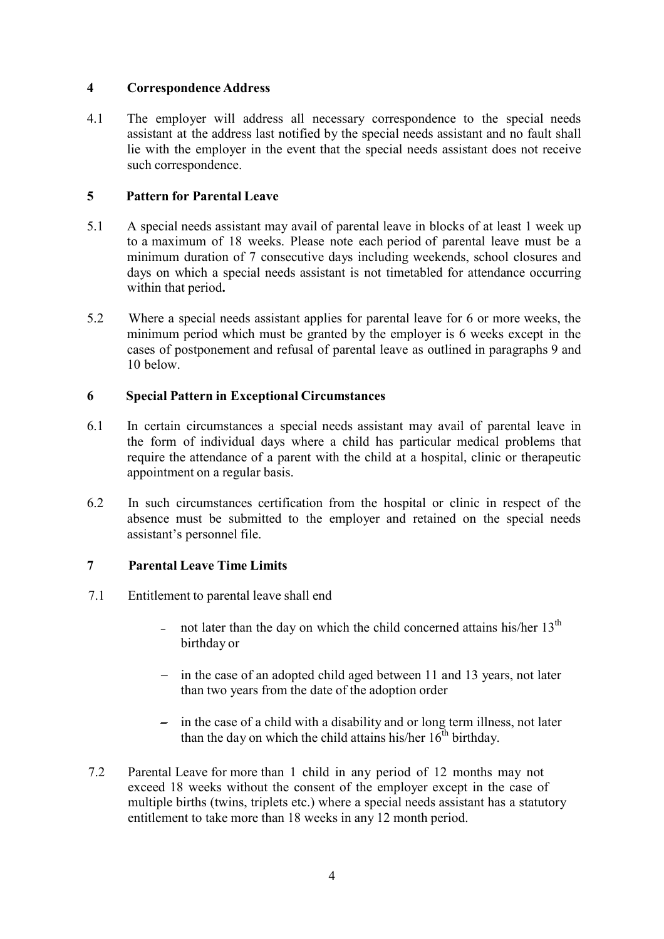## **4 Correspondence Address**

4.1 The employer will address all necessary correspondence to the special needs assistant at the address last notified by the special needs assistant and no fault shall lie with the employer in the event that the special needs assistant does not receive such correspondence.

### **5 Pattern for Parental Leave**

- 5.1 A special needs assistant may avail of parental leave in blocks of at least 1 week up to a maximum of 18 weeks. Please note each period of parental leave must be a minimum duration of 7 consecutive days including weekends, school closures and days on which a special needs assistant is not timetabled for attendance occurring within that period**.**
- 5.2 Where a special needs assistant applies for parental leave for 6 or more weeks, the minimum period which must be granted by the employer is 6 weeks except in the cases of postponement and refusal of parental leave as outlined in paragraphs 9 and 10 below.

### **6 Special Pattern in Exceptional Circumstances**

- 6.1 In certain circumstances a special needs assistant may avail of parental leave in the form of individual days where a child has particular medical problems that require the attendance of a parent with the child at a hospital, clinic or therapeutic appointment on a regular basis.
- 6.2 In such circumstances certification from the hospital or clinic in respect of the absence must be submitted to the employer and retained on the special needs assistant's personnel file.

## **7 Parental Leave Time Limits**

- 7.1 Entitlement to parental leave shall end
	- not later than the day on which the child concerned attains his/her  $13<sup>th</sup>$ birthday or
	- in the case of an adopted child aged between 11 and 13 years, not later than two years from the date of the adoption order
	- $\overline{\phantom{a}}$  in the case of a child with a disability and or long term illness, not later than the day on which the child attains his/her  $16^{th}$  birthday.
- 7.2 Parental Leave for more than 1 child in any period of 12 months may not exceed 18 weeks without the consent of the employer except in the case of multiple births (twins, triplets etc.) where a special needs assistant has a statutory entitlement to take more than 18 weeks in any 12 month period.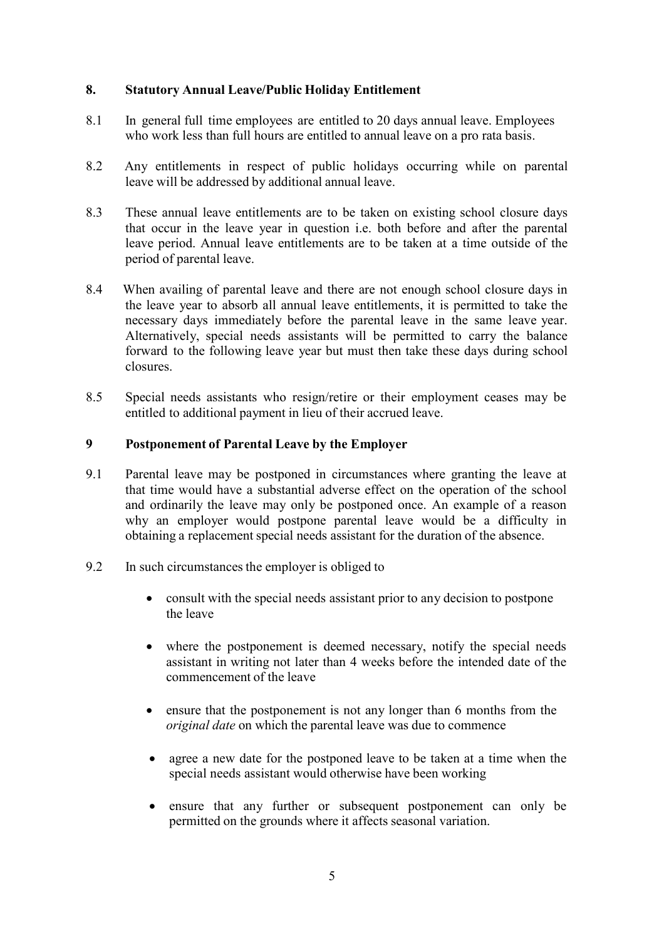#### **8. Statutory Annual Leave/Public Holiday Entitlement**

- 8.1 In general full time employees are entitled to 20 days annual leave. Employees who work less than full hours are entitled to annual leave on a pro rata basis.
- 8.2 Any entitlements in respect of public holidays occurring while on parental leave will be addressed by additional annual leave.
- 8.3 These annual leave entitlements are to be taken on existing school closure days that occur in the leave year in question i.e. both before and after the parental leave period. Annual leave entitlements are to be taken at a time outside of the period of parental leave.
- 8.4 When availing of parental leave and there are not enough school closure days in the leave year to absorb all annual leave entitlements, it is permitted to take the necessary days immediately before the parental leave in the same leave year. Alternatively, special needs assistants will be permitted to carry the balance forward to the following leave year but must then take these days during school closures.
- 8.5 Special needs assistants who resign/retire or their employment ceases may be entitled to additional payment in lieu of their accrued leave.

#### **9 Postponement of Parental Leave by the Employer**

- 9.1 Parental leave may be postponed in circumstances where granting the leave at that time would have a substantial adverse effect on the operation of the school and ordinarily the leave may only be postponed once. An example of a reason why an employer would postpone parental leave would be a difficulty in obtaining a replacement special needs assistant for the duration of the absence.
- 9.2 In such circumstances the employer is obliged to
	- consult with the special needs assistant prior to any decision to postpone the leave
	- where the postponement is deemed necessary, notify the special needs assistant in writing not later than 4 weeks before the intended date of the commencement of the leave
	- ensure that the postponement is not any longer than 6 months from the *original date* on which the parental leave was due to commence
	- agree a new date for the postponed leave to be taken at a time when the special needs assistant would otherwise have been working
	- ensure that any further or subsequent postponement can only be permitted on the grounds where it affects seasonal variation.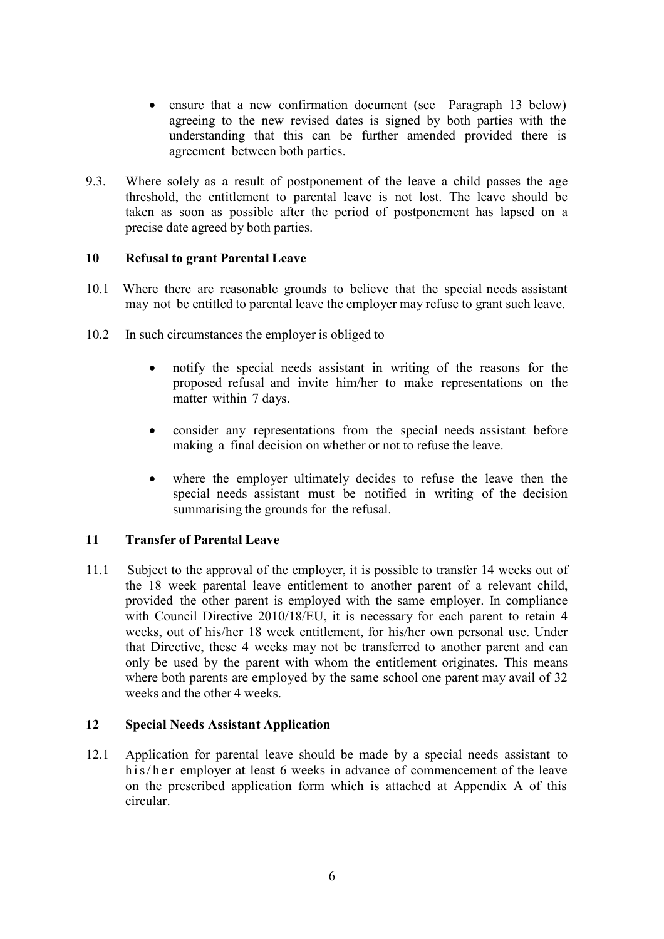- ensure that a new confirmation document (see Paragraph 13 below) agreeing to the new revised dates is signed by both parties with the understanding that this can be further amended provided there is agreement between both parties.
- 9.3. Where solely as a result of postponement of the leave a child passes the age threshold, the entitlement to parental leave is not lost. The leave should be taken as soon as possible after the period of postponement has lapsed on a precise date agreed by both parties.

## **10 Refusal to grant Parental Leave**

- 10.1 Where there are reasonable grounds to believe that the special needs assistant may not be entitled to parental leave the employer may refuse to grant such leave.
- 10.2 In such circumstances the employer is obliged to
	- notify the special needs assistant in writing of the reasons for the proposed refusal and invite him/her to make representations on the matter within 7 days.
	- consider any representations from the special needs assistant before making a final decision on whether or not to refuse the leave.
	- where the employer ultimately decides to refuse the leave then the special needs assistant must be notified in writing of the decision summarising the grounds for the refusal.

## **11 Transfer of Parental Leave**

11.1 Subject to the approval of the employer, it is possible to transfer 14 weeks out of the 18 week parental leave entitlement to another parent of a relevant child, provided the other parent is employed with the same employer. In compliance with Council Directive 2010/18/EU, it is necessary for each parent to retain 4 weeks, out of his/her 18 week entitlement, for his/her own personal use. Under that Directive, these 4 weeks may not be transferred to another parent and can only be used by the parent with whom the entitlement originates. This means where both parents are employed by the same school one parent may avail of 32 weeks and the other 4 weeks.

## **12 Special Needs Assistant Application**

12.1 Application for parental leave should be made by a special needs assistant to h is/h er employer at least 6 weeks in advance of commencement of the leave on the prescribed application form which is attached at Appendix A of this circular.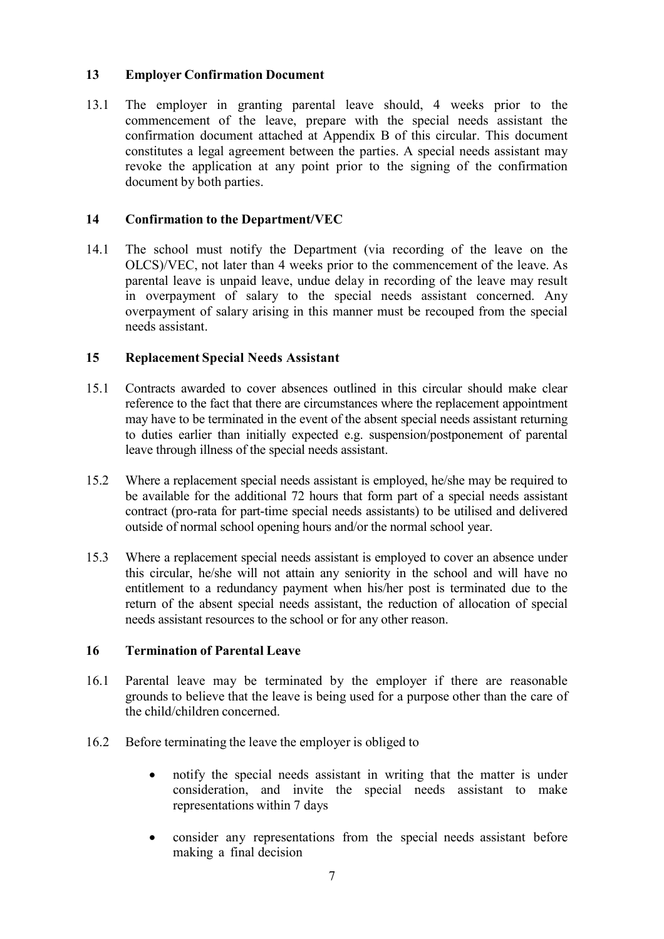### **13 Employer Confirmation Document**

13.1 The employer in granting parental leave should, 4 weeks prior to the commencement of the leave, prepare with the special needs assistant the confirmation document attached at Appendix B of this circular. This document constitutes a legal agreement between the parties. A special needs assistant may revoke the application at any point prior to the signing of the confirmation document by both parties.

### **14 Confirmation to the Department/VEC**

14.1 The school must notify the Department (via recording of the leave on the OLCS)/VEC, not later than 4 weeks prior to the commencement of the leave. As parental leave is unpaid leave, undue delay in recording of the leave may result in overpayment of salary to the special needs assistant concerned. Any overpayment of salary arising in this manner must be recouped from the special needs assistant.

### **15 Replacement Special Needs Assistant**

- 15.1 Contracts awarded to cover absences outlined in this circular should make clear reference to the fact that there are circumstances where the replacement appointment may have to be terminated in the event of the absent special needs assistant returning to duties earlier than initially expected e.g. suspension/postponement of parental leave through illness of the special needs assistant.
- 15.2 Where a replacement special needs assistant is employed, he/she may be required to be available for the additional 72 hours that form part of a special needs assistant contract (pro-rata for part-time special needs assistants) to be utilised and delivered outside of normal school opening hours and/or the normal school year.
- 15.3 Where a replacement special needs assistant is employed to cover an absence under this circular, he/she will not attain any seniority in the school and will have no entitlement to a redundancy payment when his/her post is terminated due to the return of the absent special needs assistant, the reduction of allocation of special needs assistant resources to the school or for any other reason.

#### **16 Termination of Parental Leave**

- 16.1 Parental leave may be terminated by the employer if there are reasonable grounds to believe that the leave is being used for a purpose other than the care of the child/children concerned.
- 16.2 Before terminating the leave the employer is obliged to
	- notify the special needs assistant in writing that the matter is under consideration, and invite the special needs assistant to make representations within 7 days
	- consider any representations from the special needs assistant before making a final decision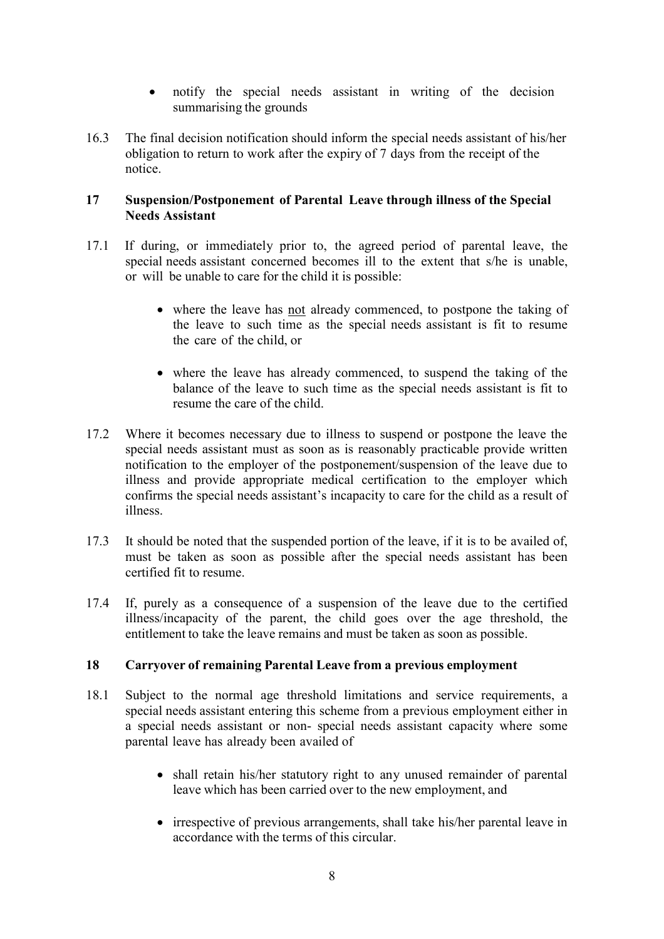- notify the special needs assistant in writing of the decision summarising the grounds
- 16.3 The final decision notification should inform the special needs assistant of his/her obligation to return to work after the expiry of 7 days from the receipt of the notice.

### **17 Suspension/Postponement of Parental Leave through illness of the Special Needs Assistant**

- 17.1 If during, or immediately prior to, the agreed period of parental leave, the special needs assistant concerned becomes ill to the extent that s/he is unable, or will be unable to care for the child it is possible:
	- where the leave has not already commenced, to postpone the taking of the leave to such time as the special needs assistant is fit to resume the care of the child, or
	- where the leave has already commenced, to suspend the taking of the balance of the leave to such time as the special needs assistant is fit to resume the care of the child.
- 17.2 Where it becomes necessary due to illness to suspend or postpone the leave the special needs assistant must as soon as is reasonably practicable provide written notification to the employer of the postponement/suspension of the leave due to illness and provide appropriate medical certification to the employer which confirms the special needs assistant's incapacity to care for the child as a result of illness.
- 17.3 It should be noted that the suspended portion of the leave, if it is to be availed of, must be taken as soon as possible after the special needs assistant has been certified fit to resume.
- 17.4 If, purely as a consequence of a suspension of the leave due to the certified illness/incapacity of the parent, the child goes over the age threshold, the entitlement to take the leave remains and must be taken as soon as possible.

## **18 Carryover of remaining Parental Leave from a previous employment**

- 18.1 Subject to the normal age threshold limitations and service requirements, a special needs assistant entering this scheme from a previous employment either in a special needs assistant or non- special needs assistant capacity where some parental leave has already been availed of
	- shall retain his/her statutory right to any unused remainder of parental leave which has been carried over to the new employment, and
	- irrespective of previous arrangements, shall take his/her parental leave in accordance with the terms of this circular.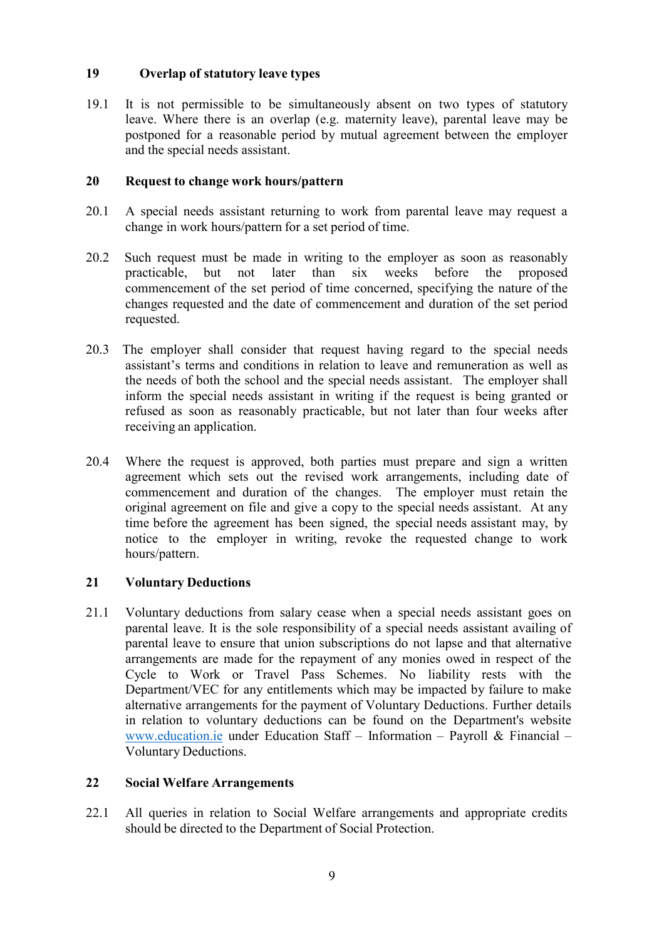## **19 Overlap of statutory leave types**

19.1 It is not permissible to be simultaneously absent on two types of statutory leave. Where there is an overlap (e.g. maternity leave), parental leave may be postponed for a reasonable period by mutual agreement between the employer and the special needs assistant.

### **20 Request to change work hours/pattern**

- 20.1 A special needs assistant returning to work from parental leave may request a change in work hours/pattern for a set period of time.
- 20.2 Such request must be made in writing to the employer as soon as reasonably practicable, but not later than six weeks before the proposed commencement of the set period of time concerned, specifying the nature of the changes requested and the date of commencement and duration of the set period requested.
- 20.3 The employer shall consider that request having regard to the special needs assistant's terms and conditions in relation to leave and remuneration as well as the needs of both the school and the special needs assistant. The employer shall inform the special needs assistant in writing if the request is being granted or refused as soon as reasonably practicable, but not later than four weeks after receiving an application.
- 20.4 Where the request is approved, both parties must prepare and sign a written agreement which sets out the revised work arrangements, including date of commencement and duration of the changes. The employer must retain the original agreement on file and give a copy to the special needs assistant. At any time before the agreement has been signed, the special needs assistant may, by notice to the employer in writing, revoke the requested change to work hours/pattern.

## **21 Voluntary Deductions**

21.1 Voluntary deductions from salary cease when a special needs assistant goes on parental leave. It is the sole responsibility of a special needs assistant availing of parental leave to ensure that union subscriptions do not lapse and that alternative arrangements are made for the repayment of any monies owed in respect of the Cycle to Work or Travel Pass Schemes. No liability rests with the Department/VEC for any entitlements which may be impacted by failure to make alternative arrangements for the payment of Voluntary Deductions. Further details in relation to voluntary deductions can be found on the Department's website [www.education.ie](http://www.education.ie/) under Education Staff – Information – Payroll & Financial – Voluntary Deductions.

#### **22 Social Welfare Arrangements**

22.1 All queries in relation to Social Welfare arrangements and appropriate credits should be directed to the Department of Social Protection.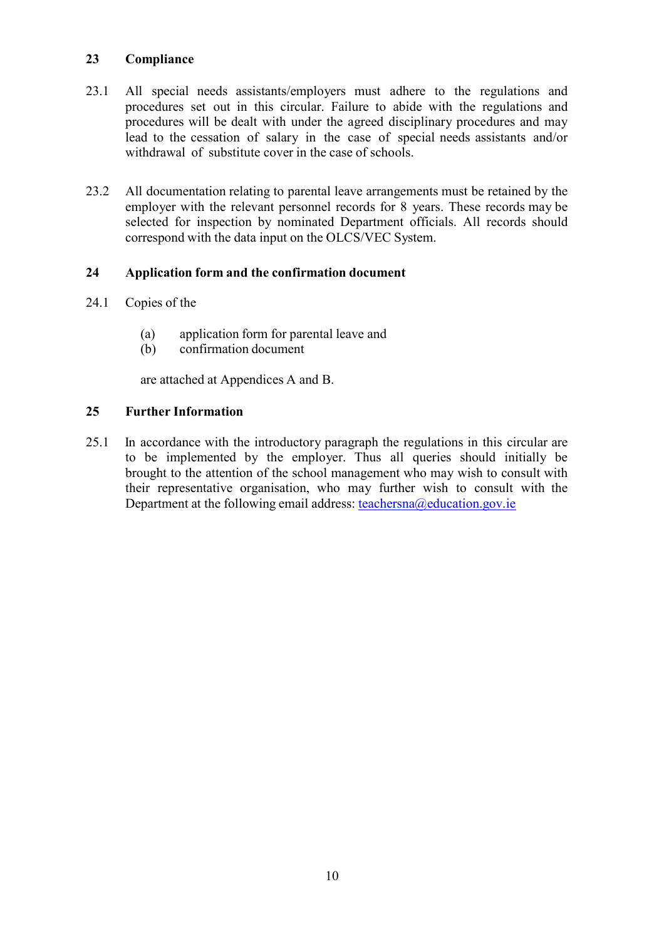## **23 Compliance**

- 23.1 All special needs assistants/employers must adhere to the regulations and procedures set out in this circular. Failure to abide with the regulations and procedures will be dealt with under the agreed disciplinary procedures and may lead to the cessation of salary in the case of special needs assistants and/or withdrawal of substitute cover in the case of schools.
- 23.2 All documentation relating to parental leave arrangements must be retained by the employer with the relevant personnel records for 8 years. These records may be selected for inspection by nominated Department officials. All records should correspond with the data input on the OLCS/VEC System.

## **24 Application form and the confirmation document**

- 24.1 Copies of the
	- (a) application form for parental leave and
	- (b) confirmation document

are attached at Appendices A and B.

## **25 Further Information**

25.1 In accordance with the introductory paragraph the regulations in this circular are to be implemented by the employer. Thus all queries should initially be brought to the attention of the school management who may wish to consult with their representative organisation, who may further wish to consult with the Department at the following email address: [teachersna@education.gov.ie](mailto:teachersna@education.gov.ie)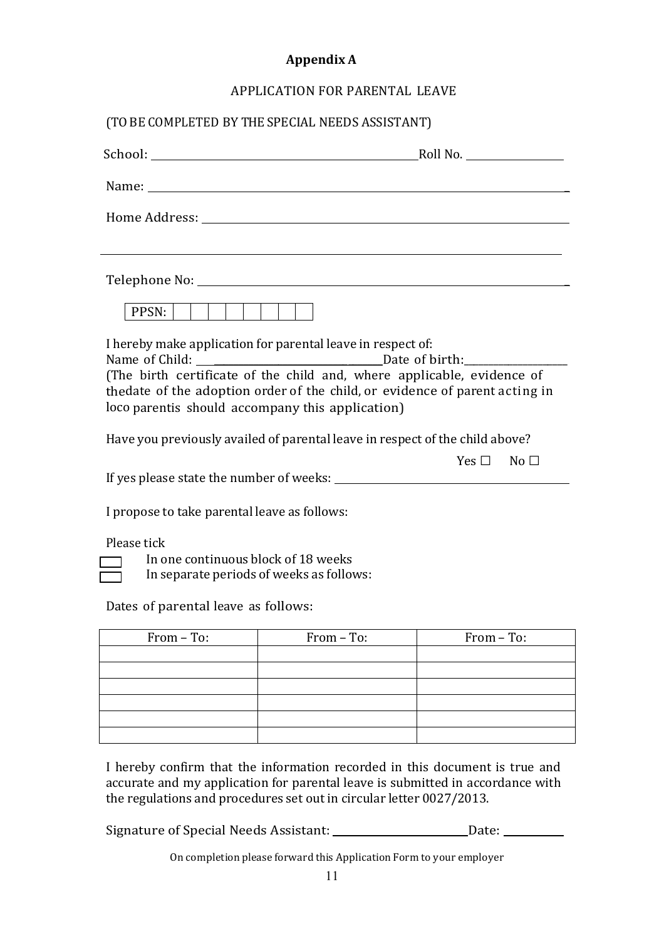## **Appendix A**

## APPLICATION FOR PARENTAL LEAVE

|                                                                                                                                       | (TO BE COMPLETED BY THE SPECIAL NEEDS ASSISTANT)                                                                                                                                                                               |                      |
|---------------------------------------------------------------------------------------------------------------------------------------|--------------------------------------------------------------------------------------------------------------------------------------------------------------------------------------------------------------------------------|----------------------|
|                                                                                                                                       | Roll No.                                                                                                                                                                                                                       |                      |
|                                                                                                                                       | Name: Name and the second state of the second state of the second state of the second state of the second state of the second state of the second state of the second state of the second state of the second state of the sec |                      |
|                                                                                                                                       |                                                                                                                                                                                                                                |                      |
|                                                                                                                                       |                                                                                                                                                                                                                                |                      |
|                                                                                                                                       |                                                                                                                                                                                                                                |                      |
| PPSN:                                                                                                                                 |                                                                                                                                                                                                                                |                      |
| Name of Child:                                                                                                                        | I hereby make application for parental leave in respect of:<br>Date of birth:                                                                                                                                                  |                      |
| loco parentis should accompany this application)                                                                                      | (The birth certificate of the child and, where applicable, evidence of<br>thedate of the adoption order of the child, or evidence of parent acting in                                                                          |                      |
|                                                                                                                                       | Have you previously availed of parental leave in respect of the child above?                                                                                                                                                   |                      |
|                                                                                                                                       |                                                                                                                                                                                                                                | $Yes \Box$ No $\Box$ |
| I propose to take parental leave as follows:                                                                                          |                                                                                                                                                                                                                                |                      |
| Please tick<br>In one continuous block of 18 weeks<br>In separate periods of weeks as follows:<br>Dates of parental leave as follows: |                                                                                                                                                                                                                                |                      |
|                                                                                                                                       |                                                                                                                                                                                                                                |                      |
| From - To:                                                                                                                            | From - To:                                                                                                                                                                                                                     | From - To:           |
|                                                                                                                                       |                                                                                                                                                                                                                                |                      |
|                                                                                                                                       |                                                                                                                                                                                                                                |                      |
|                                                                                                                                       |                                                                                                                                                                                                                                |                      |
|                                                                                                                                       |                                                                                                                                                                                                                                |                      |

I hereby confirm that the information recorded in this document is true and accurate and my application for parental leave is submitted in accordance with the regulations and procedures set out in circular letter 0027/2013.

Signature of Special Needs Assistant: \_\_\_\_\_\_\_\_\_\_\_\_\_\_\_\_\_\_\_\_\_\_\_\_\_\_\_Date: \_\_\_\_\_\_\_\_\_

On completion please forward this Application Form to your employer